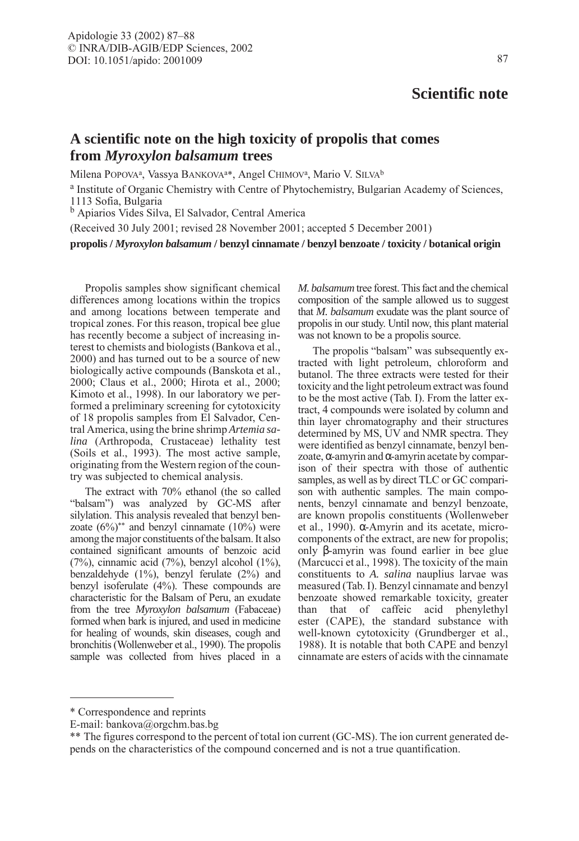## **Scientific note**

## **A scientific note on the high toxicity of propolis that comes from** *Myroxylon balsamum* **trees**

Milena POPOVA<sup>a</sup>, Vassya BANKOVA<sup>a\*</sup>, Angel CHIMOV<sup>a</sup>, Mario V. SILVA<sup>b</sup>

<sup>a</sup> Institute of Organic Chemistry with Centre of Phytochemistry, Bulgarian Academy of Sciences, 1113 Sofia, Bulgaria

<sup>b</sup> Apiarios Vides Silva, El Salvador, Central America

(Received 30 July 2001; revised 28 November 2001; accepted 5 December 2001)

**propolis /** *Myroxylon balsamum* **/ benzyl cinnamate / benzyl benzoate / toxicity / botanical origin**

Propolis samples show significant chemical differences among locations within the tropics and among locations between temperate and tropical zones. For this reason, tropical bee glue has recently become a subject of increasing interest to chemists and biologists (Bankova et al., 2000) and has turned out to be a source of new biologically active compounds (Banskota et al., 2000; Claus et al., 2000; Hirota et al., 2000; Kimoto et al., 1998). In our laboratory we performed a preliminary screening for cytotoxicity of 18 propolis samples from El Salvador, Central America, using the brine shrimp *Artemia salina* (Arthropoda, Crustaceae) lethality test (Soils et al., 1993). The most active sample, originating from the Western region of the country was subjected to chemical analysis.

The extract with 70% ethanol (the so called "balsam") was analyzed by GC-MS after silylation. This analysis revealed that benzyl benzoate  $(6\%)$ <sup>\*\*</sup> and benzyl cinnamate  $(10\%)$  were among the major constituents of the balsam. It also contained significant amounts of benzoic acid (7%), cinnamic acid (7%), benzyl alcohol (1%), benzaldehyde (1%), benzyl ferulate (2%) and benzyl isoferulate (4%). These compounds are characteristic for the Balsam of Peru, an exudate from the tree *Myroxylon balsamum* (Fabaceae) formed when bark is injured, and used in medicine for healing of wounds, skin diseases, cough and bronchitis (Wollenweber et al., 1990). The propolis sample was collected from hives placed in a *M. balsamum* tree forest. This fact and the chemical composition of the sample allowed us to suggest that *M. balsamum* exudate was the plant source of propolis in our study. Until now, this plant material was not known to be a propolis source.

The propolis "balsam" was subsequently extracted with light petroleum, chloroform and butanol. The three extracts were tested for their toxicity and the light petroleum extract was found to be the most active (Tab. I). From the latter extract, 4 compounds were isolated by column and thin layer chromatography and their structures determined by MS, UV and NMR spectra. They were identified as benzyl cinnamate, benzyl benzoate,α-amyrin andα-amyrin acetate by comparison of their spectra with those of authentic samples, as well as by direct TLC or GC comparison with authentic samples. The main components, benzyl cinnamate and benzyl benzoate, are known propolis constituents (Wollenweber et al., 1990). α-Amyrin and its acetate, microcomponents of the extract, are new for propolis; only β-amyrin was found earlier in bee glue (Marcucci et al., 1998). The toxicity of the main constituents to *A. salina* nauplius larvae was measured (Tab. I). Benzyl cinnamate and benzyl benzoate showed remarkable toxicity, greater than that of caffeic acid phenylethyl ester (CAPE), the standard substance with well-known cytotoxicity (Grundberger et al., 1988). It is notable that both CAPE and benzyl cinnamate are esters of acids with the cinnamate

<sup>\*</sup> Correspondence and reprints

E-mail: bankova@orgchm.bas.bg

<sup>\*\*</sup> The figures correspond to the percent of total ion current (GC-MS). The ion current generated depends on the characteristics of the compound concerned and is not a true quantification.